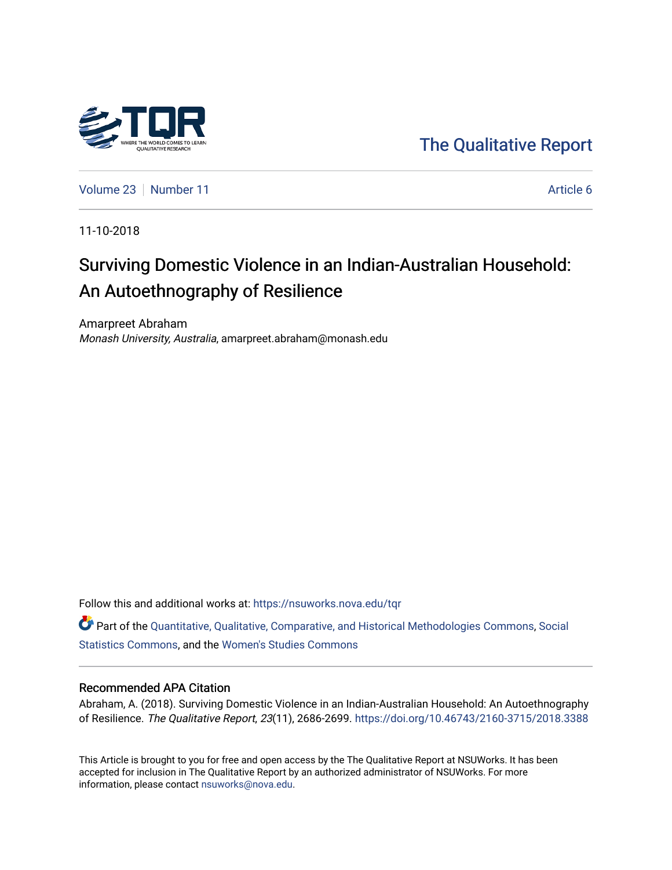

[The Qualitative Report](https://nsuworks.nova.edu/tqr) 

[Volume 23](https://nsuworks.nova.edu/tqr/vol23) [Number 11](https://nsuworks.nova.edu/tqr/vol23/iss11) Article 6

11-10-2018

# Surviving Domestic Violence in an Indian-Australian Household: An Autoethnography of Resilience

Amarpreet Abraham Monash University, Australia, amarpreet.abraham@monash.edu

Follow this and additional works at: [https://nsuworks.nova.edu/tqr](https://nsuworks.nova.edu/tqr?utm_source=nsuworks.nova.edu%2Ftqr%2Fvol23%2Fiss11%2F6&utm_medium=PDF&utm_campaign=PDFCoverPages) 

Part of the [Quantitative, Qualitative, Comparative, and Historical Methodologies Commons,](http://network.bepress.com/hgg/discipline/423?utm_source=nsuworks.nova.edu%2Ftqr%2Fvol23%2Fiss11%2F6&utm_medium=PDF&utm_campaign=PDFCoverPages) [Social](http://network.bepress.com/hgg/discipline/1275?utm_source=nsuworks.nova.edu%2Ftqr%2Fvol23%2Fiss11%2F6&utm_medium=PDF&utm_campaign=PDFCoverPages) [Statistics Commons](http://network.bepress.com/hgg/discipline/1275?utm_source=nsuworks.nova.edu%2Ftqr%2Fvol23%2Fiss11%2F6&utm_medium=PDF&utm_campaign=PDFCoverPages), and the [Women's Studies Commons](http://network.bepress.com/hgg/discipline/561?utm_source=nsuworks.nova.edu%2Ftqr%2Fvol23%2Fiss11%2F6&utm_medium=PDF&utm_campaign=PDFCoverPages) 

#### Recommended APA Citation

Abraham, A. (2018). Surviving Domestic Violence in an Indian-Australian Household: An Autoethnography of Resilience. The Qualitative Report, 23(11), 2686-2699. <https://doi.org/10.46743/2160-3715/2018.3388>

This Article is brought to you for free and open access by the The Qualitative Report at NSUWorks. It has been accepted for inclusion in The Qualitative Report by an authorized administrator of NSUWorks. For more information, please contact [nsuworks@nova.edu.](mailto:nsuworks@nova.edu)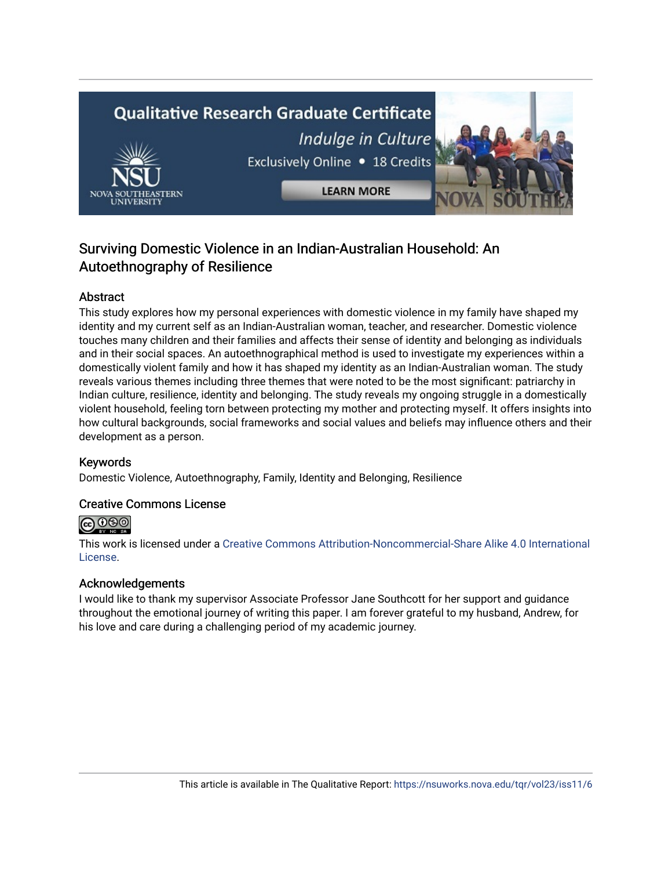# **Qualitative Research Graduate Certificate** Indulge in Culture Exclusively Online . 18 Credits **LEARN MORE**

# Surviving Domestic Violence in an Indian-Australian Household: An Autoethnography of Resilience

# Abstract

This study explores how my personal experiences with domestic violence in my family have shaped my identity and my current self as an Indian-Australian woman, teacher, and researcher. Domestic violence touches many children and their families and affects their sense of identity and belonging as individuals and in their social spaces. An autoethnographical method is used to investigate my experiences within a domestically violent family and how it has shaped my identity as an Indian-Australian woman. The study reveals various themes including three themes that were noted to be the most significant: patriarchy in Indian culture, resilience, identity and belonging. The study reveals my ongoing struggle in a domestically violent household, feeling torn between protecting my mother and protecting myself. It offers insights into how cultural backgrounds, social frameworks and social values and beliefs may influence others and their development as a person.

# Keywords

Domestic Violence, Autoethnography, Family, Identity and Belonging, Resilience

# Creative Commons License



This work is licensed under a [Creative Commons Attribution-Noncommercial-Share Alike 4.0 International](https://creativecommons.org/licenses/by-nc-sa/4.0/)  [License](https://creativecommons.org/licenses/by-nc-sa/4.0/).

# Acknowledgements

I would like to thank my supervisor Associate Professor Jane Southcott for her support and guidance throughout the emotional journey of writing this paper. I am forever grateful to my husband, Andrew, for his love and care during a challenging period of my academic journey.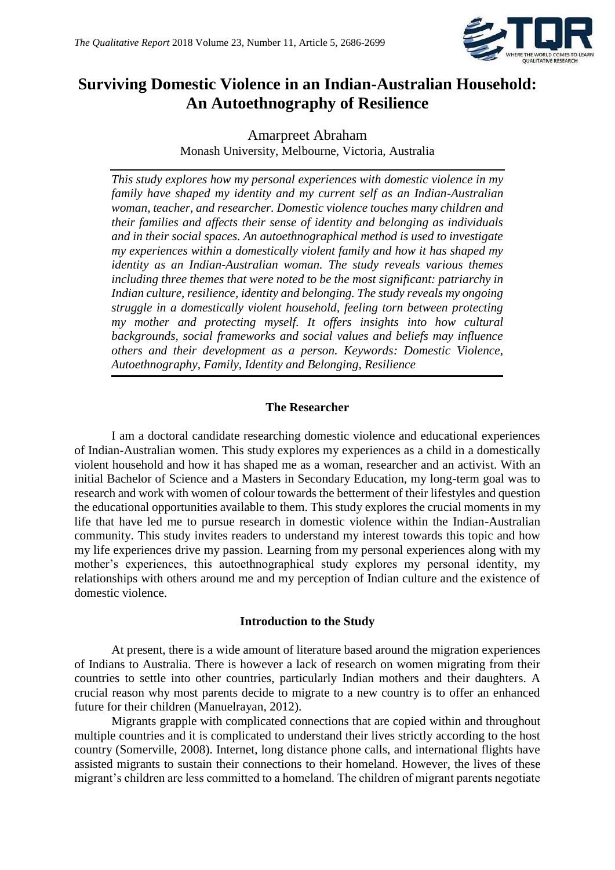

# **Surviving Domestic Violence in an Indian-Australian Household: An Autoethnography of Resilience**

Amarpreet Abraham Monash University, Melbourne, Victoria, Australia

*This study explores how my personal experiences with domestic violence in my family have shaped my identity and my current self as an Indian-Australian woman, teacher, and researcher. Domestic violence touches many children and their families and affects their sense of identity and belonging as individuals and in their social spaces. An autoethnographical method is used to investigate my experiences within a domestically violent family and how it has shaped my identity as an Indian-Australian woman. The study reveals various themes including three themes that were noted to be the most significant: patriarchy in Indian culture, resilience, identity and belonging. The study reveals my ongoing struggle in a domestically violent household, feeling torn between protecting my mother and protecting myself. It offers insights into how cultural backgrounds, social frameworks and social values and beliefs may influence others and their development as a person. Keywords: Domestic Violence, Autoethnography, Family, Identity and Belonging, Resilience*

# **The Researcher**

I am a doctoral candidate researching domestic violence and educational experiences of Indian-Australian women. This study explores my experiences as a child in a domestically violent household and how it has shaped me as a woman, researcher and an activist. With an initial Bachelor of Science and a Masters in Secondary Education, my long-term goal was to research and work with women of colour towards the betterment of their lifestyles and question the educational opportunities available to them. This study explores the crucial moments in my life that have led me to pursue research in domestic violence within the Indian-Australian community. This study invites readers to understand my interest towards this topic and how my life experiences drive my passion. Learning from my personal experiences along with my mother's experiences, this autoethnographical study explores my personal identity, my relationships with others around me and my perception of Indian culture and the existence of domestic violence.

# **Introduction to the Study**

At present, there is a wide amount of literature based around the migration experiences of Indians to Australia. There is however a lack of research on women migrating from their countries to settle into other countries, particularly Indian mothers and their daughters. A crucial reason why most parents decide to migrate to a new country is to offer an enhanced future for their children (Manuelrayan, 2012).

Migrants grapple with complicated connections that are copied within and throughout multiple countries and it is complicated to understand their lives strictly according to the host country (Somerville, 2008). Internet, long distance phone calls, and international flights have assisted migrants to sustain their connections to their homeland. However, the lives of these migrant's children are less committed to a homeland. The children of migrant parents negotiate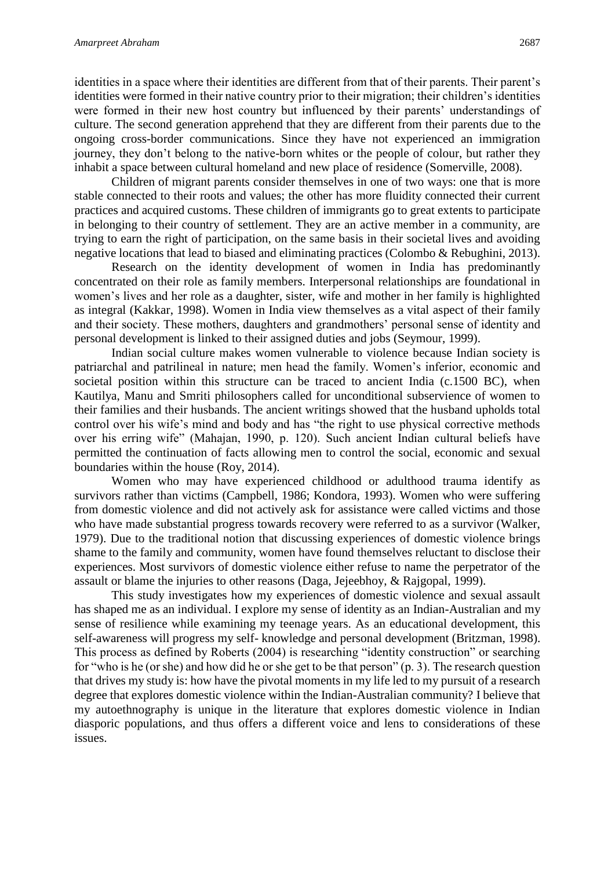identities in a space where their identities are different from that of their parents. Their parent's identities were formed in their native country prior to their migration; their children's identities were formed in their new host country but influenced by their parents' understandings of culture. The second generation apprehend that they are different from their parents due to the ongoing cross-border communications. Since they have not experienced an immigration journey, they don't belong to the native-born whites or the people of colour, but rather they inhabit a space between cultural homeland and new place of residence (Somerville, 2008).

Children of migrant parents consider themselves in one of two ways: one that is more stable connected to their roots and values; the other has more fluidity connected their current practices and acquired customs. These children of immigrants go to great extents to participate in belonging to their country of settlement. They are an active member in a community, are trying to earn the right of participation, on the same basis in their societal lives and avoiding negative locations that lead to biased and eliminating practices (Colombo & Rebughini, 2013).

Research on the identity development of women in India has predominantly concentrated on their role as family members. Interpersonal relationships are foundational in women's lives and her role as a daughter, sister, wife and mother in her family is highlighted as integral (Kakkar, 1998). Women in India view themselves as a vital aspect of their family and their society. These mothers, daughters and grandmothers' personal sense of identity and personal development is linked to their assigned duties and jobs (Seymour, 1999).

Indian social culture makes women vulnerable to violence because Indian society is patriarchal and patrilineal in nature; men head the family. Women's inferior, economic and societal position within this structure can be traced to ancient India (c.1500 BC), when Kautilya, Manu and Smriti philosophers called for unconditional subservience of women to their families and their husbands. The ancient writings showed that the husband upholds total control over his wife's mind and body and has "the right to use physical corrective methods over his erring wife" (Mahajan, 1990, p. 120). Such ancient Indian cultural beliefs have permitted the continuation of facts allowing men to control the social, economic and sexual boundaries within the house (Roy, 2014).

Women who may have experienced childhood or adulthood trauma identify as survivors rather than victims (Campbell, 1986; Kondora, 1993). Women who were suffering from domestic violence and did not actively ask for assistance were called victims and those who have made substantial progress towards recovery were referred to as a survivor (Walker, 1979). Due to the traditional notion that discussing experiences of domestic violence brings shame to the family and community, women have found themselves reluctant to disclose their experiences. Most survivors of domestic violence either refuse to name the perpetrator of the assault or blame the injuries to other reasons (Daga, Jejeebhoy, & Rajgopal, 1999).

This study investigates how my experiences of domestic violence and sexual assault has shaped me as an individual. I explore my sense of identity as an Indian-Australian and my sense of resilience while examining my teenage years. As an educational development, this self-awareness will progress my self- knowledge and personal development (Britzman, 1998). This process as defined by Roberts (2004) is researching "identity construction" or searching for "who is he (or she) and how did he or she get to be that person" (p. 3). The research question that drives my study is: how have the pivotal moments in my life led to my pursuit of a research degree that explores domestic violence within the Indian-Australian community? I believe that my autoethnography is unique in the literature that explores domestic violence in Indian diasporic populations, and thus offers a different voice and lens to considerations of these issues.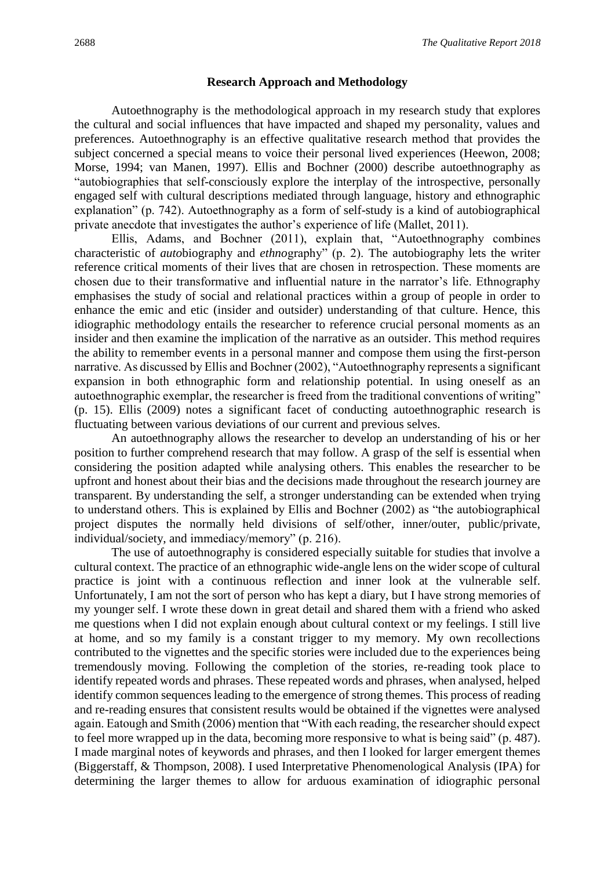#### **Research Approach and Methodology**

Autoethnography is the methodological approach in my research study that explores the cultural and social influences that have impacted and shaped my personality, values and preferences. Autoethnography is an effective qualitative research method that provides the subject concerned a special means to voice their personal lived experiences (Heewon, 2008; Morse, 1994; van Manen, 1997). Ellis and Bochner (2000) describe autoethnography as "autobiographies that self-consciously explore the interplay of the introspective, personally engaged self with cultural descriptions mediated through language, history and ethnographic explanation" (p. 742). Autoethnography as a form of self-study is a kind of autobiographical private anecdote that investigates the author's experience of life (Mallet, 2011).

Ellis, Adams, and Bochner (2011), explain that, "Autoethnography combines characteristic of *auto*biography and *ethno*graphy" (p. 2). The autobiography lets the writer reference critical moments of their lives that are chosen in retrospection. These moments are chosen due to their transformative and influential nature in the narrator's life. Ethnography emphasises the study of social and relational practices within a group of people in order to enhance the emic and etic (insider and outsider) understanding of that culture. Hence, this idiographic methodology entails the researcher to reference crucial personal moments as an insider and then examine the implication of the narrative as an outsider. This method requires the ability to remember events in a personal manner and compose them using the first-person narrative. As discussed by Ellis and Bochner (2002), "Autoethnography represents a significant expansion in both ethnographic form and relationship potential. In using oneself as an autoethnographic exemplar, the researcher is freed from the traditional conventions of writing" (p. 15). Ellis (2009) notes a significant facet of conducting autoethnographic research is fluctuating between various deviations of our current and previous selves.

An autoethnography allows the researcher to develop an understanding of his or her position to further comprehend research that may follow. A grasp of the self is essential when considering the position adapted while analysing others. This enables the researcher to be upfront and honest about their bias and the decisions made throughout the research journey are transparent. By understanding the self, a stronger understanding can be extended when trying to understand others. This is explained by Ellis and Bochner (2002) as "the autobiographical project disputes the normally held divisions of self/other, inner/outer, public/private, individual/society, and immediacy/memory" (p. 216).

The use of autoethnography is considered especially suitable for studies that involve a cultural context. The practice of an ethnographic wide-angle lens on the wider scope of cultural practice is joint with a continuous reflection and inner look at the vulnerable self. Unfortunately, I am not the sort of person who has kept a diary, but I have strong memories of my younger self. I wrote these down in great detail and shared them with a friend who asked me questions when I did not explain enough about cultural context or my feelings. I still live at home, and so my family is a constant trigger to my memory. My own recollections contributed to the vignettes and the specific stories were included due to the experiences being tremendously moving. Following the completion of the stories, re-reading took place to identify repeated words and phrases. These repeated words and phrases, when analysed, helped identify common sequences leading to the emergence of strong themes. This process of reading and re-reading ensures that consistent results would be obtained if the vignettes were analysed again. Eatough and Smith (2006) mention that "With each reading, the researcher should expect to feel more wrapped up in the data, becoming more responsive to what is being said" (p. 487). I made marginal notes of keywords and phrases, and then I looked for larger emergent themes (Biggerstaff, & Thompson, 2008). I used Interpretative Phenomenological Analysis (IPA) for determining the larger themes to allow for arduous examination of idiographic personal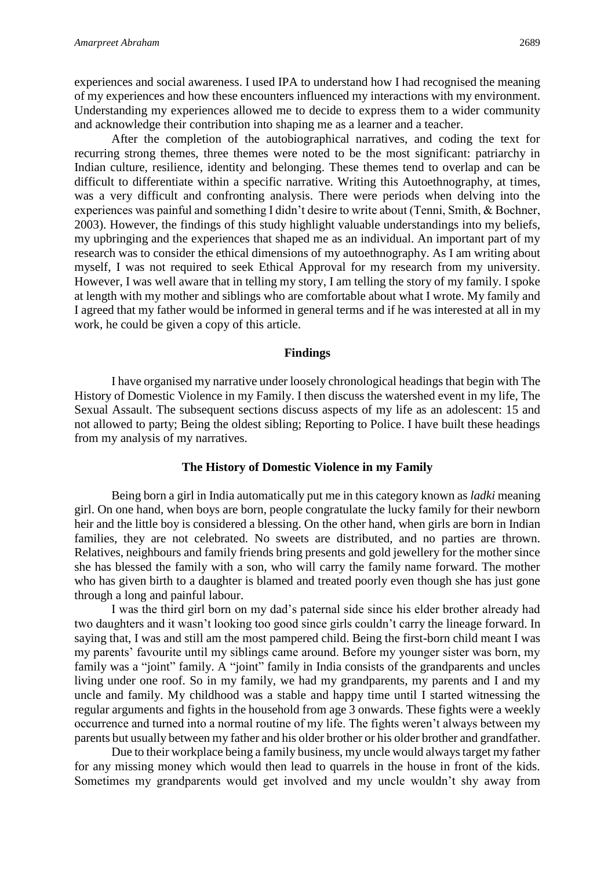experiences and social awareness. I used IPA to understand how I had recognised the meaning of my experiences and how these encounters influenced my interactions with my environment. Understanding my experiences allowed me to decide to express them to a wider community and acknowledge their contribution into shaping me as a learner and a teacher.

After the completion of the autobiographical narratives, and coding the text for recurring strong themes, three themes were noted to be the most significant: patriarchy in Indian culture, resilience, identity and belonging. These themes tend to overlap and can be difficult to differentiate within a specific narrative. Writing this Autoethnography, at times, was a very difficult and confronting analysis. There were periods when delving into the experiences was painful and something I didn't desire to write about (Tenni, Smith, & Bochner, 2003). However, the findings of this study highlight valuable understandings into my beliefs, my upbringing and the experiences that shaped me as an individual. An important part of my research was to consider the ethical dimensions of my autoethnography. As I am writing about myself, I was not required to seek Ethical Approval for my research from my university. However, I was well aware that in telling my story, I am telling the story of my family. I spoke at length with my mother and siblings who are comfortable about what I wrote. My family and I agreed that my father would be informed in general terms and if he was interested at all in my work, he could be given a copy of this article.

#### **Findings**

I have organised my narrative under loosely chronological headings that begin with The History of Domestic Violence in my Family. I then discuss the watershed event in my life, The Sexual Assault. The subsequent sections discuss aspects of my life as an adolescent: 15 and not allowed to party; Being the oldest sibling; Reporting to Police. I have built these headings from my analysis of my narratives.

#### **The History of Domestic Violence in my Family**

Being born a girl in India automatically put me in this category known as *ladki* meaning girl. On one hand, when boys are born, people congratulate the lucky family for their newborn heir and the little boy is considered a blessing. On the other hand, when girls are born in Indian families, they are not celebrated. No sweets are distributed, and no parties are thrown. Relatives, neighbours and family friends bring presents and gold jewellery for the mother since she has blessed the family with a son, who will carry the family name forward. The mother who has given birth to a daughter is blamed and treated poorly even though she has just gone through a long and painful labour.

I was the third girl born on my dad's paternal side since his elder brother already had two daughters and it wasn't looking too good since girls couldn't carry the lineage forward. In saying that, I was and still am the most pampered child. Being the first-born child meant I was my parents' favourite until my siblings came around. Before my younger sister was born, my family was a "joint" family. A "joint" family in India consists of the grandparents and uncles living under one roof. So in my family, we had my grandparents, my parents and I and my uncle and family. My childhood was a stable and happy time until I started witnessing the regular arguments and fights in the household from age 3 onwards. These fights were a weekly occurrence and turned into a normal routine of my life. The fights weren't always between my parents but usually between my father and his older brother or his older brother and grandfather.

Due to their workplace being a family business, my uncle would always target my father for any missing money which would then lead to quarrels in the house in front of the kids. Sometimes my grandparents would get involved and my uncle wouldn't shy away from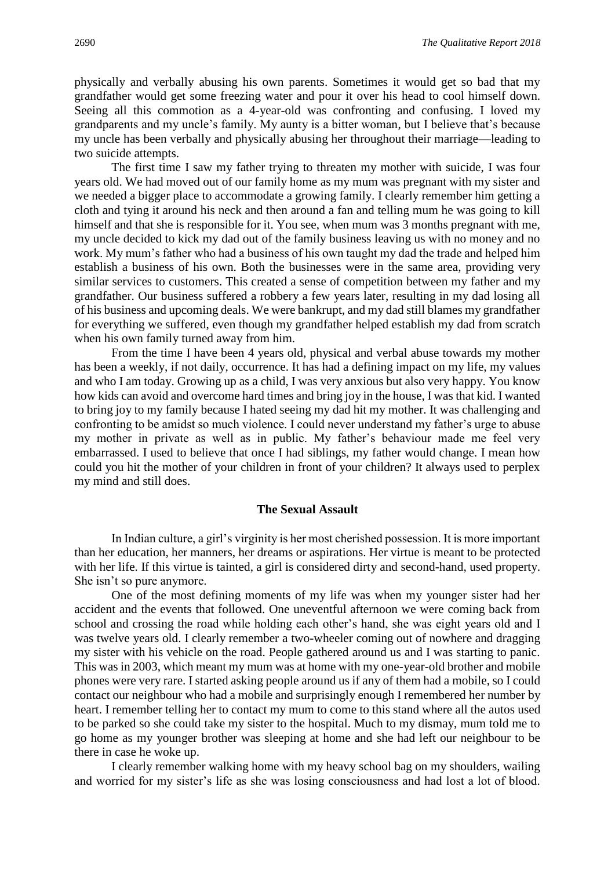physically and verbally abusing his own parents. Sometimes it would get so bad that my grandfather would get some freezing water and pour it over his head to cool himself down. Seeing all this commotion as a 4-year-old was confronting and confusing. I loved my grandparents and my uncle's family. My aunty is a bitter woman, but I believe that's because my uncle has been verbally and physically abusing her throughout their marriage—leading to two suicide attempts.

The first time I saw my father trying to threaten my mother with suicide, I was four years old. We had moved out of our family home as my mum was pregnant with my sister and we needed a bigger place to accommodate a growing family. I clearly remember him getting a cloth and tying it around his neck and then around a fan and telling mum he was going to kill himself and that she is responsible for it. You see, when mum was 3 months pregnant with me, my uncle decided to kick my dad out of the family business leaving us with no money and no work. My mum's father who had a business of his own taught my dad the trade and helped him establish a business of his own. Both the businesses were in the same area, providing very similar services to customers. This created a sense of competition between my father and my grandfather. Our business suffered a robbery a few years later, resulting in my dad losing all of his business and upcoming deals. We were bankrupt, and my dad still blames my grandfather for everything we suffered, even though my grandfather helped establish my dad from scratch when his own family turned away from him.

From the time I have been 4 years old, physical and verbal abuse towards my mother has been a weekly, if not daily, occurrence. It has had a defining impact on my life, my values and who I am today. Growing up as a child, I was very anxious but also very happy. You know how kids can avoid and overcome hard times and bring joy in the house, I was that kid. I wanted to bring joy to my family because I hated seeing my dad hit my mother. It was challenging and confronting to be amidst so much violence. I could never understand my father's urge to abuse my mother in private as well as in public. My father's behaviour made me feel very embarrassed. I used to believe that once I had siblings, my father would change. I mean how could you hit the mother of your children in front of your children? It always used to perplex my mind and still does.

#### **The Sexual Assault**

In Indian culture, a girl's virginity is her most cherished possession. It is more important than her education, her manners, her dreams or aspirations. Her virtue is meant to be protected with her life. If this virtue is tainted, a girl is considered dirty and second-hand, used property. She isn't so pure anymore.

One of the most defining moments of my life was when my younger sister had her accident and the events that followed. One uneventful afternoon we were coming back from school and crossing the road while holding each other's hand, she was eight years old and I was twelve years old. I clearly remember a two-wheeler coming out of nowhere and dragging my sister with his vehicle on the road. People gathered around us and I was starting to panic. This was in 2003, which meant my mum was at home with my one-year-old brother and mobile phones were very rare. I started asking people around us if any of them had a mobile, so I could contact our neighbour who had a mobile and surprisingly enough I remembered her number by heart. I remember telling her to contact my mum to come to this stand where all the autos used to be parked so she could take my sister to the hospital. Much to my dismay, mum told me to go home as my younger brother was sleeping at home and she had left our neighbour to be there in case he woke up.

I clearly remember walking home with my heavy school bag on my shoulders, wailing and worried for my sister's life as she was losing consciousness and had lost a lot of blood.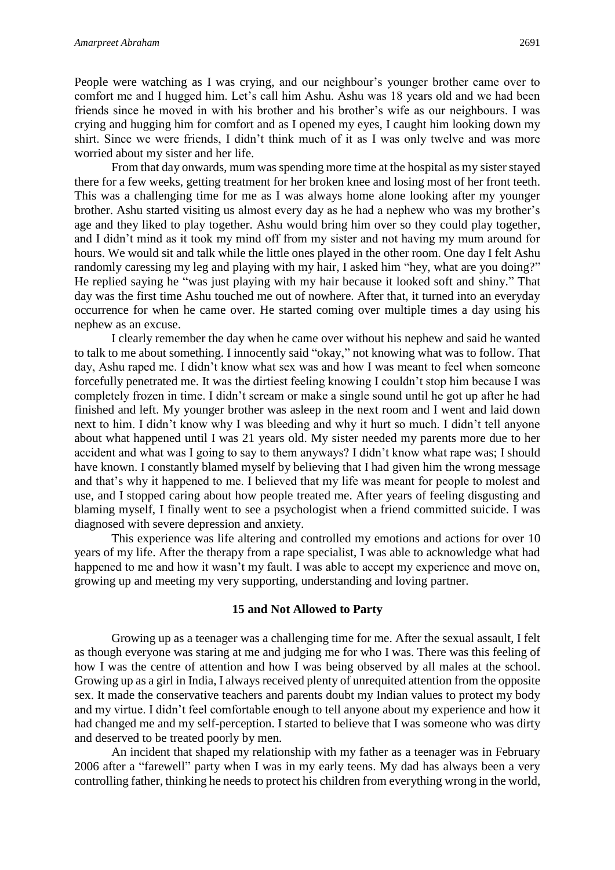People were watching as I was crying, and our neighbour's younger brother came over to comfort me and I hugged him. Let's call him Ashu. Ashu was 18 years old and we had been friends since he moved in with his brother and his brother's wife as our neighbours. I was crying and hugging him for comfort and as I opened my eyes, I caught him looking down my shirt. Since we were friends, I didn't think much of it as I was only twelve and was more worried about my sister and her life.

From that day onwards, mum was spending more time at the hospital as my sister stayed there for a few weeks, getting treatment for her broken knee and losing most of her front teeth. This was a challenging time for me as I was always home alone looking after my younger brother. Ashu started visiting us almost every day as he had a nephew who was my brother's age and they liked to play together. Ashu would bring him over so they could play together, and I didn't mind as it took my mind off from my sister and not having my mum around for hours. We would sit and talk while the little ones played in the other room. One day I felt Ashu randomly caressing my leg and playing with my hair, I asked him "hey, what are you doing?" He replied saying he "was just playing with my hair because it looked soft and shiny." That day was the first time Ashu touched me out of nowhere. After that, it turned into an everyday occurrence for when he came over. He started coming over multiple times a day using his nephew as an excuse.

I clearly remember the day when he came over without his nephew and said he wanted to talk to me about something. I innocently said "okay," not knowing what was to follow. That day, Ashu raped me. I didn't know what sex was and how I was meant to feel when someone forcefully penetrated me. It was the dirtiest feeling knowing I couldn't stop him because I was completely frozen in time. I didn't scream or make a single sound until he got up after he had finished and left. My younger brother was asleep in the next room and I went and laid down next to him. I didn't know why I was bleeding and why it hurt so much. I didn't tell anyone about what happened until I was 21 years old. My sister needed my parents more due to her accident and what was I going to say to them anyways? I didn't know what rape was; I should have known. I constantly blamed myself by believing that I had given him the wrong message and that's why it happened to me. I believed that my life was meant for people to molest and use, and I stopped caring about how people treated me. After years of feeling disgusting and blaming myself, I finally went to see a psychologist when a friend committed suicide. I was diagnosed with severe depression and anxiety.

This experience was life altering and controlled my emotions and actions for over 10 years of my life. After the therapy from a rape specialist, I was able to acknowledge what had happened to me and how it wasn't my fault. I was able to accept my experience and move on, growing up and meeting my very supporting, understanding and loving partner.

#### **15 and Not Allowed to Party**

Growing up as a teenager was a challenging time for me. After the sexual assault, I felt as though everyone was staring at me and judging me for who I was. There was this feeling of how I was the centre of attention and how I was being observed by all males at the school. Growing up as a girl in India, I always received plenty of unrequited attention from the opposite sex. It made the conservative teachers and parents doubt my Indian values to protect my body and my virtue. I didn't feel comfortable enough to tell anyone about my experience and how it had changed me and my self-perception. I started to believe that I was someone who was dirty and deserved to be treated poorly by men.

An incident that shaped my relationship with my father as a teenager was in February 2006 after a "farewell" party when I was in my early teens. My dad has always been a very controlling father, thinking he needs to protect his children from everything wrong in the world,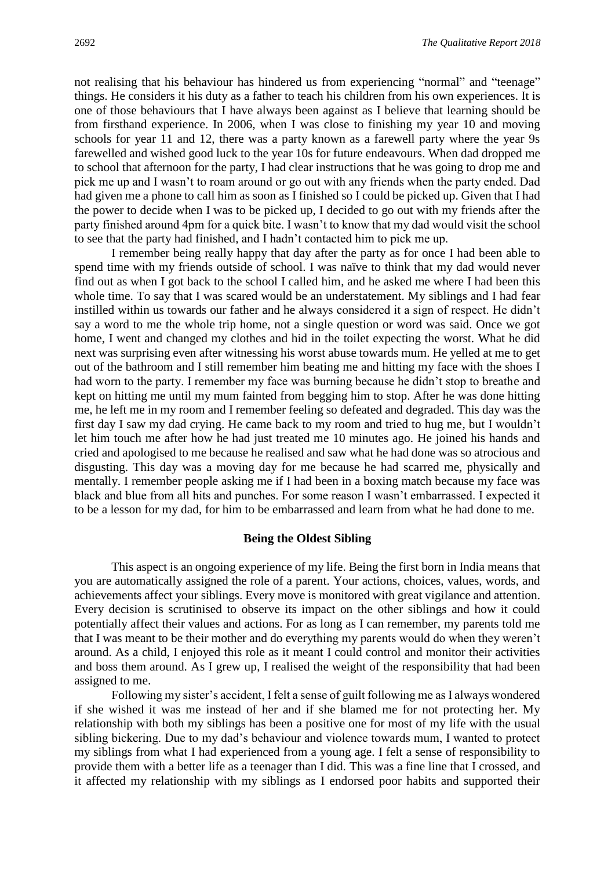not realising that his behaviour has hindered us from experiencing "normal" and "teenage" things. He considers it his duty as a father to teach his children from his own experiences. It is one of those behaviours that I have always been against as I believe that learning should be from firsthand experience. In 2006, when I was close to finishing my year 10 and moving schools for year 11 and 12, there was a party known as a farewell party where the year 9s farewelled and wished good luck to the year 10s for future endeavours. When dad dropped me to school that afternoon for the party, I had clear instructions that he was going to drop me and pick me up and I wasn't to roam around or go out with any friends when the party ended. Dad had given me a phone to call him as soon as I finished so I could be picked up. Given that I had the power to decide when I was to be picked up, I decided to go out with my friends after the party finished around 4pm for a quick bite. I wasn't to know that my dad would visit the school to see that the party had finished, and I hadn't contacted him to pick me up.

I remember being really happy that day after the party as for once I had been able to spend time with my friends outside of school. I was naïve to think that my dad would never find out as when I got back to the school I called him, and he asked me where I had been this whole time. To say that I was scared would be an understatement. My siblings and I had fear instilled within us towards our father and he always considered it a sign of respect. He didn't say a word to me the whole trip home, not a single question or word was said. Once we got home, I went and changed my clothes and hid in the toilet expecting the worst. What he did next was surprising even after witnessing his worst abuse towards mum. He yelled at me to get out of the bathroom and I still remember him beating me and hitting my face with the shoes I had worn to the party. I remember my face was burning because he didn't stop to breathe and kept on hitting me until my mum fainted from begging him to stop. After he was done hitting me, he left me in my room and I remember feeling so defeated and degraded. This day was the first day I saw my dad crying. He came back to my room and tried to hug me, but I wouldn't let him touch me after how he had just treated me 10 minutes ago. He joined his hands and cried and apologised to me because he realised and saw what he had done was so atrocious and disgusting. This day was a moving day for me because he had scarred me, physically and mentally. I remember people asking me if I had been in a boxing match because my face was black and blue from all hits and punches. For some reason I wasn't embarrassed. I expected it to be a lesson for my dad, for him to be embarrassed and learn from what he had done to me.

#### **Being the Oldest Sibling**

This aspect is an ongoing experience of my life. Being the first born in India means that you are automatically assigned the role of a parent. Your actions, choices, values, words, and achievements affect your siblings. Every move is monitored with great vigilance and attention. Every decision is scrutinised to observe its impact on the other siblings and how it could potentially affect their values and actions. For as long as I can remember, my parents told me that I was meant to be their mother and do everything my parents would do when they weren't around. As a child, I enjoyed this role as it meant I could control and monitor their activities and boss them around. As I grew up, I realised the weight of the responsibility that had been assigned to me.

Following my sister's accident, I felt a sense of guilt following me as I always wondered if she wished it was me instead of her and if she blamed me for not protecting her. My relationship with both my siblings has been a positive one for most of my life with the usual sibling bickering. Due to my dad's behaviour and violence towards mum, I wanted to protect my siblings from what I had experienced from a young age. I felt a sense of responsibility to provide them with a better life as a teenager than I did. This was a fine line that I crossed, and it affected my relationship with my siblings as I endorsed poor habits and supported their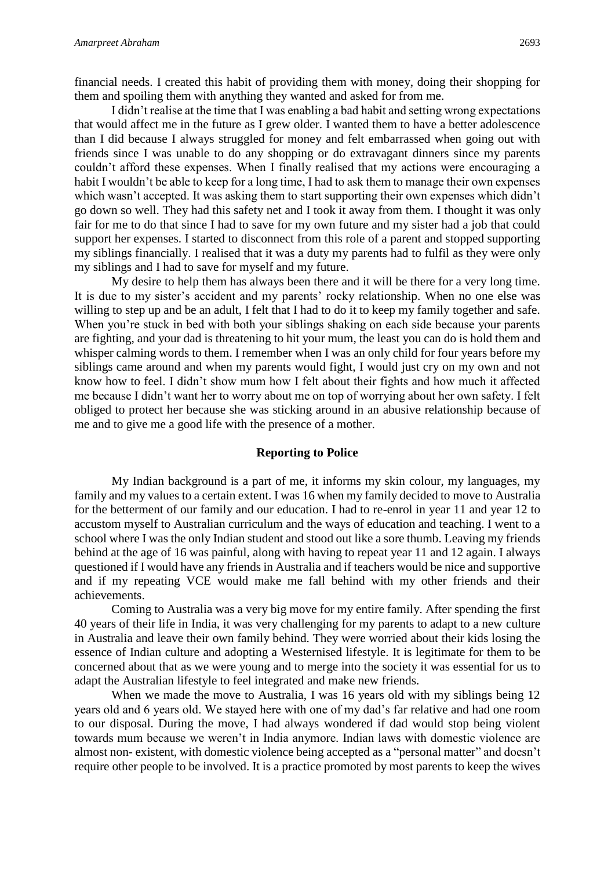financial needs. I created this habit of providing them with money, doing their shopping for them and spoiling them with anything they wanted and asked for from me.

I didn't realise at the time that I was enabling a bad habit and setting wrong expectations that would affect me in the future as I grew older. I wanted them to have a better adolescence than I did because I always struggled for money and felt embarrassed when going out with friends since I was unable to do any shopping or do extravagant dinners since my parents couldn't afford these expenses. When I finally realised that my actions were encouraging a habit I wouldn't be able to keep for a long time, I had to ask them to manage their own expenses which wasn't accepted. It was asking them to start supporting their own expenses which didn't go down so well. They had this safety net and I took it away from them. I thought it was only fair for me to do that since I had to save for my own future and my sister had a job that could support her expenses. I started to disconnect from this role of a parent and stopped supporting my siblings financially. I realised that it was a duty my parents had to fulfil as they were only my siblings and I had to save for myself and my future.

My desire to help them has always been there and it will be there for a very long time. It is due to my sister's accident and my parents' rocky relationship. When no one else was willing to step up and be an adult, I felt that I had to do it to keep my family together and safe. When you're stuck in bed with both your siblings shaking on each side because your parents are fighting, and your dad is threatening to hit your mum, the least you can do is hold them and whisper calming words to them. I remember when I was an only child for four years before my siblings came around and when my parents would fight, I would just cry on my own and not know how to feel. I didn't show mum how I felt about their fights and how much it affected me because I didn't want her to worry about me on top of worrying about her own safety. I felt obliged to protect her because she was sticking around in an abusive relationship because of me and to give me a good life with the presence of a mother.

#### **Reporting to Police**

My Indian background is a part of me, it informs my skin colour, my languages, my family and my values to a certain extent. I was 16 when my family decided to move to Australia for the betterment of our family and our education. I had to re-enrol in year 11 and year 12 to accustom myself to Australian curriculum and the ways of education and teaching. I went to a school where I was the only Indian student and stood out like a sore thumb. Leaving my friends behind at the age of 16 was painful, along with having to repeat year 11 and 12 again. I always questioned if I would have any friends in Australia and if teachers would be nice and supportive and if my repeating VCE would make me fall behind with my other friends and their achievements.

Coming to Australia was a very big move for my entire family. After spending the first 40 years of their life in India, it was very challenging for my parents to adapt to a new culture in Australia and leave their own family behind. They were worried about their kids losing the essence of Indian culture and adopting a Westernised lifestyle. It is legitimate for them to be concerned about that as we were young and to merge into the society it was essential for us to adapt the Australian lifestyle to feel integrated and make new friends.

When we made the move to Australia, I was 16 years old with my siblings being 12 years old and 6 years old. We stayed here with one of my dad's far relative and had one room to our disposal. During the move, I had always wondered if dad would stop being violent towards mum because we weren't in India anymore. Indian laws with domestic violence are almost non- existent, with domestic violence being accepted as a "personal matter" and doesn't require other people to be involved. It is a practice promoted by most parents to keep the wives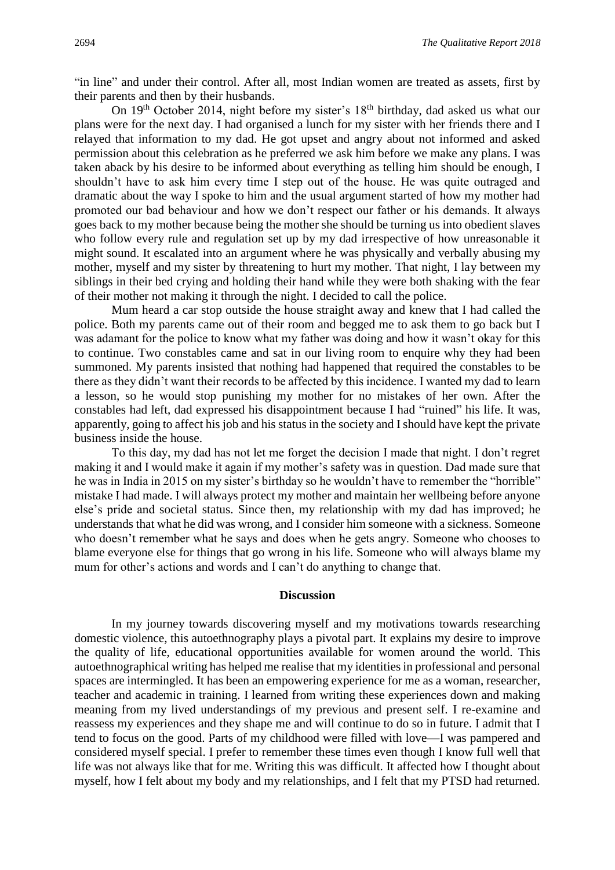"in line" and under their control. After all, most Indian women are treated as assets, first by their parents and then by their husbands.

On  $19<sup>th</sup>$  October 2014, night before my sister's  $18<sup>th</sup>$  birthday, dad asked us what our plans were for the next day. I had organised a lunch for my sister with her friends there and I relayed that information to my dad. He got upset and angry about not informed and asked permission about this celebration as he preferred we ask him before we make any plans. I was taken aback by his desire to be informed about everything as telling him should be enough, I shouldn't have to ask him every time I step out of the house. He was quite outraged and dramatic about the way I spoke to him and the usual argument started of how my mother had promoted our bad behaviour and how we don't respect our father or his demands. It always goes back to my mother because being the mother she should be turning us into obedient slaves who follow every rule and regulation set up by my dad irrespective of how unreasonable it might sound. It escalated into an argument where he was physically and verbally abusing my mother, myself and my sister by threatening to hurt my mother. That night, I lay between my siblings in their bed crying and holding their hand while they were both shaking with the fear of their mother not making it through the night. I decided to call the police.

Mum heard a car stop outside the house straight away and knew that I had called the police. Both my parents came out of their room and begged me to ask them to go back but I was adamant for the police to know what my father was doing and how it wasn't okay for this to continue. Two constables came and sat in our living room to enquire why they had been summoned. My parents insisted that nothing had happened that required the constables to be there as they didn't want their records to be affected by this incidence. I wanted my dad to learn a lesson, so he would stop punishing my mother for no mistakes of her own. After the constables had left, dad expressed his disappointment because I had "ruined" his life. It was, apparently, going to affect his job and his status in the society and I should have kept the private business inside the house.

To this day, my dad has not let me forget the decision I made that night. I don't regret making it and I would make it again if my mother's safety was in question. Dad made sure that he was in India in 2015 on my sister's birthday so he wouldn't have to remember the "horrible" mistake I had made. I will always protect my mother and maintain her wellbeing before anyone else's pride and societal status. Since then, my relationship with my dad has improved; he understands that what he did was wrong, and I consider him someone with a sickness. Someone who doesn't remember what he says and does when he gets angry. Someone who chooses to blame everyone else for things that go wrong in his life. Someone who will always blame my mum for other's actions and words and I can't do anything to change that.

#### **Discussion**

In my journey towards discovering myself and my motivations towards researching domestic violence, this autoethnography plays a pivotal part. It explains my desire to improve the quality of life, educational opportunities available for women around the world. This autoethnographical writing has helped me realise that my identities in professional and personal spaces are intermingled. It has been an empowering experience for me as a woman, researcher, teacher and academic in training. I learned from writing these experiences down and making meaning from my lived understandings of my previous and present self. I re-examine and reassess my experiences and they shape me and will continue to do so in future. I admit that I tend to focus on the good. Parts of my childhood were filled with love—I was pampered and considered myself special. I prefer to remember these times even though I know full well that life was not always like that for me. Writing this was difficult. It affected how I thought about myself, how I felt about my body and my relationships, and I felt that my PTSD had returned.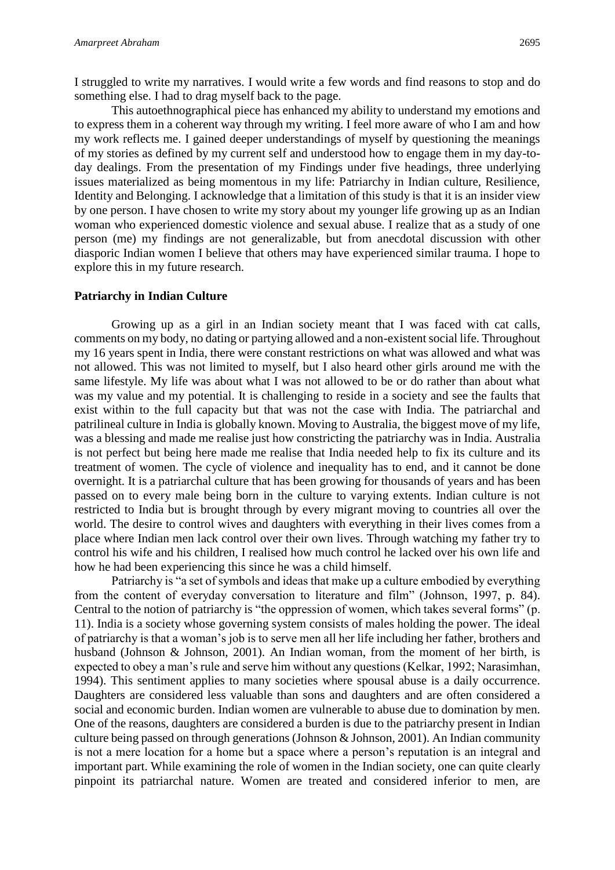I struggled to write my narratives. I would write a few words and find reasons to stop and do something else. I had to drag myself back to the page.

This autoethnographical piece has enhanced my ability to understand my emotions and to express them in a coherent way through my writing. I feel more aware of who I am and how my work reflects me. I gained deeper understandings of myself by questioning the meanings of my stories as defined by my current self and understood how to engage them in my day-today dealings. From the presentation of my Findings under five headings, three underlying issues materialized as being momentous in my life: Patriarchy in Indian culture, Resilience, Identity and Belonging. I acknowledge that a limitation of this study is that it is an insider view by one person. I have chosen to write my story about my younger life growing up as an Indian woman who experienced domestic violence and sexual abuse. I realize that as a study of one person (me) my findings are not generalizable, but from anecdotal discussion with other diasporic Indian women I believe that others may have experienced similar trauma. I hope to explore this in my future research.

#### **Patriarchy in Indian Culture**

Growing up as a girl in an Indian society meant that I was faced with cat calls, comments on my body, no dating or partying allowed and a non-existent social life. Throughout my 16 years spent in India, there were constant restrictions on what was allowed and what was not allowed. This was not limited to myself, but I also heard other girls around me with the same lifestyle. My life was about what I was not allowed to be or do rather than about what was my value and my potential. It is challenging to reside in a society and see the faults that exist within to the full capacity but that was not the case with India. The patriarchal and patrilineal culture in India is globally known. Moving to Australia, the biggest move of my life, was a blessing and made me realise just how constricting the patriarchy was in India. Australia is not perfect but being here made me realise that India needed help to fix its culture and its treatment of women. The cycle of violence and inequality has to end, and it cannot be done overnight. It is a patriarchal culture that has been growing for thousands of years and has been passed on to every male being born in the culture to varying extents. Indian culture is not restricted to India but is brought through by every migrant moving to countries all over the world. The desire to control wives and daughters with everything in their lives comes from a place where Indian men lack control over their own lives. Through watching my father try to control his wife and his children, I realised how much control he lacked over his own life and how he had been experiencing this since he was a child himself.

Patriarchy is "a set of symbols and ideas that make up a culture embodied by everything from the content of everyday conversation to literature and film" (Johnson, 1997, p. 84). Central to the notion of patriarchy is "the oppression of women, which takes several forms" (p. 11). India is a society whose governing system consists of males holding the power. The ideal of patriarchy is that a woman's job is to serve men all her life including her father, brothers and husband (Johnson & Johnson, 2001). An Indian woman, from the moment of her birth, is expected to obey a man's rule and serve him without any questions (Kelkar, 1992; Narasimhan, 1994). This sentiment applies to many societies where spousal abuse is a daily occurrence. Daughters are considered less valuable than sons and daughters and are often considered a social and economic burden. Indian women are vulnerable to abuse due to domination by men. One of the reasons, daughters are considered a burden is due to the patriarchy present in Indian culture being passed on through generations (Johnson & Johnson, 2001). An Indian community is not a mere location for a home but a space where a person's reputation is an integral and important part. While examining the role of women in the Indian society, one can quite clearly pinpoint its patriarchal nature. Women are treated and considered inferior to men, are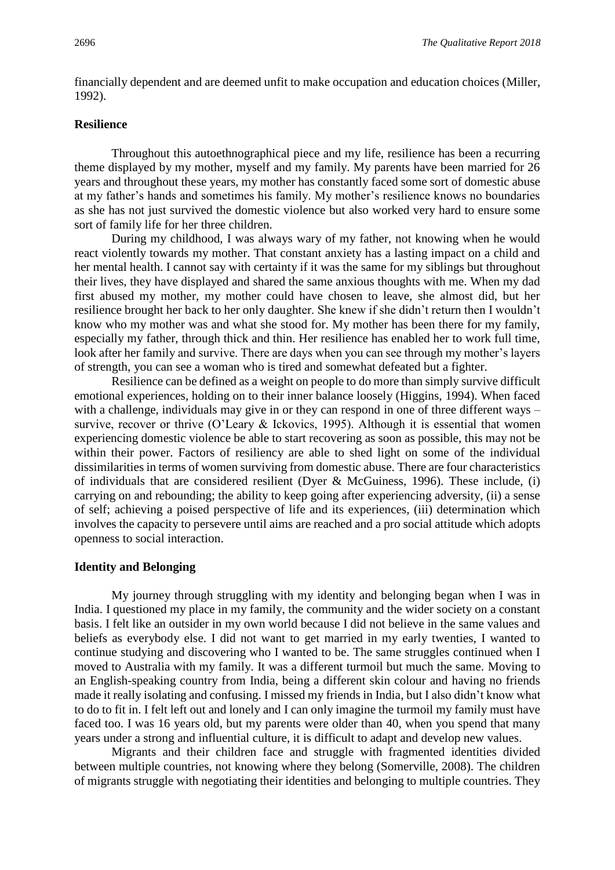financially dependent and are deemed unfit to make occupation and education choices (Miller, 1992).

## **Resilience**

Throughout this autoethnographical piece and my life, resilience has been a recurring theme displayed by my mother, myself and my family. My parents have been married for 26 years and throughout these years, my mother has constantly faced some sort of domestic abuse at my father's hands and sometimes his family. My mother's resilience knows no boundaries as she has not just survived the domestic violence but also worked very hard to ensure some sort of family life for her three children.

During my childhood, I was always wary of my father, not knowing when he would react violently towards my mother. That constant anxiety has a lasting impact on a child and her mental health. I cannot say with certainty if it was the same for my siblings but throughout their lives, they have displayed and shared the same anxious thoughts with me. When my dad first abused my mother, my mother could have chosen to leave, she almost did, but her resilience brought her back to her only daughter. She knew if she didn't return then I wouldn't know who my mother was and what she stood for. My mother has been there for my family, especially my father, through thick and thin. Her resilience has enabled her to work full time, look after her family and survive. There are days when you can see through my mother's layers of strength, you can see a woman who is tired and somewhat defeated but a fighter.

Resilience can be defined as a weight on people to do more than simply survive difficult emotional experiences, holding on to their inner balance loosely (Higgins, 1994). When faced with a challenge, individuals may give in or they can respond in one of three different ways – survive, recover or thrive (O'Leary & Ickovics, 1995). Although it is essential that women experiencing domestic violence be able to start recovering as soon as possible, this may not be within their power. Factors of resiliency are able to shed light on some of the individual dissimilarities in terms of women surviving from domestic abuse. There are four characteristics of individuals that are considered resilient (Dyer & McGuiness, 1996). These include, (i) carrying on and rebounding; the ability to keep going after experiencing adversity, (ii) a sense of self; achieving a poised perspective of life and its experiences, (iii) determination which involves the capacity to persevere until aims are reached and a pro social attitude which adopts openness to social interaction.

#### **Identity and Belonging**

My journey through struggling with my identity and belonging began when I was in India. I questioned my place in my family, the community and the wider society on a constant basis. I felt like an outsider in my own world because I did not believe in the same values and beliefs as everybody else. I did not want to get married in my early twenties, I wanted to continue studying and discovering who I wanted to be. The same struggles continued when I moved to Australia with my family. It was a different turmoil but much the same. Moving to an English-speaking country from India, being a different skin colour and having no friends made it really isolating and confusing. I missed my friends in India, but I also didn't know what to do to fit in. I felt left out and lonely and I can only imagine the turmoil my family must have faced too. I was 16 years old, but my parents were older than 40, when you spend that many years under a strong and influential culture, it is difficult to adapt and develop new values.

Migrants and their children face and struggle with fragmented identities divided between multiple countries, not knowing where they belong (Somerville, 2008). The children of migrants struggle with negotiating their identities and belonging to multiple countries. They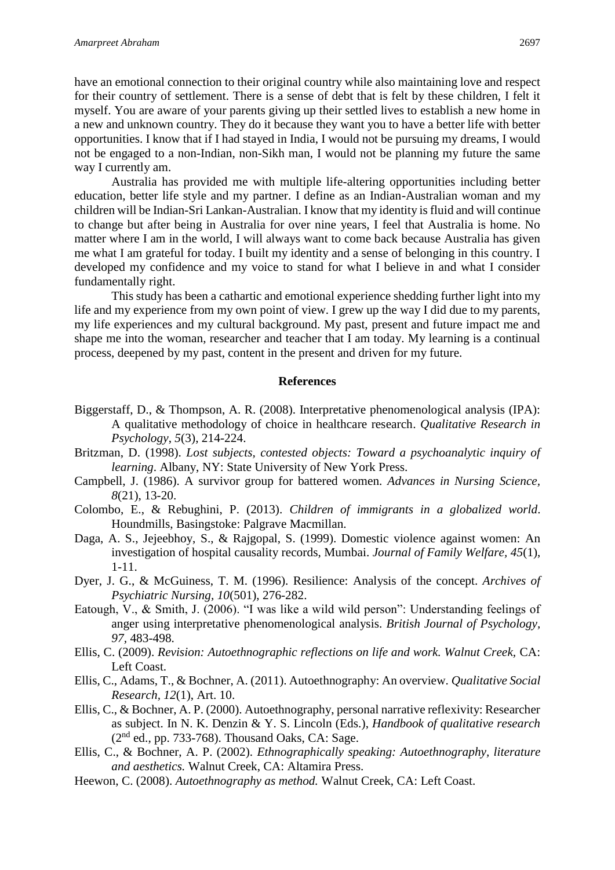have an emotional connection to their original country while also maintaining love and respect for their country of settlement. There is a sense of debt that is felt by these children, I felt it myself. You are aware of your parents giving up their settled lives to establish a new home in a new and unknown country. They do it because they want you to have a better life with better opportunities. I know that if I had stayed in India, I would not be pursuing my dreams, I would not be engaged to a non-Indian, non-Sikh man, I would not be planning my future the same way I currently am.

Australia has provided me with multiple life-altering opportunities including better education, better life style and my partner. I define as an Indian-Australian woman and my children will be Indian-Sri Lankan-Australian. I know that my identity is fluid and will continue to change but after being in Australia for over nine years, I feel that Australia is home. No matter where I am in the world, I will always want to come back because Australia has given me what I am grateful for today. I built my identity and a sense of belonging in this country. I developed my confidence and my voice to stand for what I believe in and what I consider fundamentally right.

This study has been a cathartic and emotional experience shedding further light into my life and my experience from my own point of view. I grew up the way I did due to my parents, my life experiences and my cultural background. My past, present and future impact me and shape me into the woman, researcher and teacher that I am today. My learning is a continual process, deepened by my past, content in the present and driven for my future.

#### **References**

- Biggerstaff, D., & Thompson, A. R. (2008). Interpretative phenomenological analysis (IPA): A qualitative methodology of choice in healthcare research. *Qualitative Research in Psychology*, *5*(3), 214-224.
- Britzman, D. (1998). *Lost subjects, contested objects: Toward a psychoanalytic inquiry of learning*. Albany, NY: State University of New York Press.
- Campbell, J. (1986). A survivor group for battered women. *Advances in Nursing Science, 8*(21), 13-20.
- Colombo, E., & Rebughini, P. (2013). *Children of immigrants in a globalized world*. Houndmills, Basingstoke: Palgrave Macmillan.
- Daga, A. S., Jejeebhoy, S., & Rajgopal, S. (1999). Domestic violence against women: An investigation of hospital causality records, Mumbai. *Journal of Family Welfare, 45*(1), 1-11.
- Dyer, J. G., & McGuiness, T. M. (1996). Resilience: Analysis of the concept. *Archives of Psychiatric Nursing, 10*(501), 276-282.
- Eatough, V., & Smith, J. (2006). "I was like a wild wild person": Understanding feelings of anger using interpretative phenomenological analysis. *British Journal of Psychology, 97,* 483-498.
- Ellis, C. (2009). *Revision: Autoethnographic reflections on life and work. Walnut Creek,* CA: Left Coast.
- Ellis, C., Adams, T., & Bochner, A. (2011). Autoethnography: An overview. *Qualitative Social Research, 12*(1), Art. 10.
- Ellis, C., & Bochner, A. P. (2000). Autoethnography, personal narrative reflexivity: Researcher as subject. In N. K. Denzin & Y. S. Lincoln (Eds.), *Handbook of qualitative research*   $(2<sup>nd</sup>$  ed., pp. 733-768). Thousand Oaks, CA: Sage.
- Ellis, C., & Bochner, A. P. (2002). *Ethnographically speaking: Autoethnography, literature and aesthetics.* Walnut Creek, CA: Altamira Press.
- Heewon, C. (2008). *Autoethnography as method.* Walnut Creek, CA: Left Coast.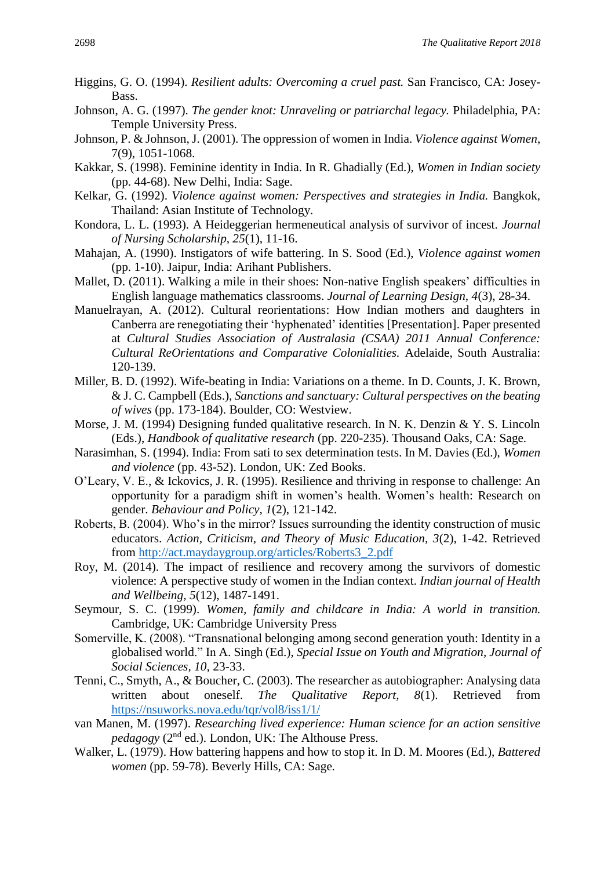- Higgins, G. O. (1994). *Resilient adults: Overcoming a cruel past.* San Francisco, CA: Josey-Bass.
- Johnson, A. G. (1997). *The gender knot: Unraveling or patriarchal legacy.* Philadelphia, PA: Temple University Press.
- Johnson, P. & Johnson, J. (2001). The oppression of women in India. *Violence against Women*, 7(9), 1051-1068.
- Kakkar, S. (1998). Feminine identity in India. In R. Ghadially (Ed.), *Women in Indian society*  (pp. 44-68). New Delhi, India: Sage.
- Kelkar, G. (1992). *Violence against women: Perspectives and strategies in India.* Bangkok, Thailand: Asian Institute of Technology.
- Kondora, L. L. (1993). A Heideggerian hermeneutical analysis of survivor of incest. *Journal of Nursing Scholarship, 25*(1), 11-16.
- Mahajan, A. (1990). Instigators of wife battering. In S. Sood (Ed.), *Violence against women* (pp. 1-10). Jaipur, India: Arihant Publishers.
- Mallet, D. (2011). Walking a mile in their shoes: Non-native English speakers' difficulties in English language mathematics classrooms. *Journal of Learning Design, 4*(3), 28-34.
- Manuelrayan, A. (2012). Cultural reorientations: How Indian mothers and daughters in Canberra are renegotiating their 'hyphenated' identities [Presentation]. Paper presented at *Cultural Studies Association of Australasia (CSAA) 2011 Annual Conference: Cultural ReOrientations and Comparative Colonialities.* Adelaide, South Australia: 120-139.
- Miller, B. D. (1992). Wife-beating in India: Variations on a theme. In D. Counts, J. K. Brown, & J. C. Campbell (Eds.), *Sanctions and sanctuary: Cultural perspectives on the beating of wives* (pp. 173-184). Boulder, CO: Westview.
- Morse, J. M. (1994) Designing funded qualitative research. In N. K. Denzin & Y. S. Lincoln (Eds.), *Handbook of qualitative research* (pp. 220-235). Thousand Oaks, CA: Sage.
- Narasimhan, S. (1994). India: From sati to sex determination tests. In M. Davies (Ed.), *Women and violence* (pp. 43-52). London, UK: Zed Books.
- O'Leary, V. E., & Ickovics, J. R. (1995). Resilience and thriving in response to challenge: An opportunity for a paradigm shift in women's health. Women's health: Research on gender. *Behaviour and Policy, 1*(2), 121-142.
- Roberts, B. (2004). Who's in the mirror? Issues surrounding the identity construction of music educators. *Action, Criticism, and Theory of Music Education, 3*(2), 1-42. Retrieved from [http://act.maydaygroup.org/articles/Roberts3\\_2.pdf](http://act.maydaygroup.org/articles/Roberts3_2.pdf)
- Roy, M. (2014). The impact of resilience and recovery among the survivors of domestic violence: A perspective study of women in the Indian context. *Indian journal of Health and Wellbeing, 5*(12), 1487-1491.
- Seymour, S. C. (1999). *Women, family and childcare in India: A world in transition.*  Cambridge, UK: Cambridge University Press
- Somerville, K. (2008). "Transnational belonging among second generation youth: Identity in a globalised world." In A. Singh (Ed.), *Special Issue on Youth and Migration, Journal of Social Sciences, 10,* 23-33.
- Tenni, C., Smyth, A., & Boucher, C. (2003). The researcher as autobiographer: Analysing data written about oneself. *The Qualitative Report, 8*(1). Retrieved from <https://nsuworks.nova.edu/tqr/vol8/iss1/1/>
- van Manen, M. (1997). *Researching lived experience: Human science for an action sensitive pedagogy* (2nd ed.). London, UK: The Althouse Press.
- Walker, L. (1979). How battering happens and how to stop it. In D. M. Moores (Ed.), *Battered women* (pp. 59-78). Beverly Hills, CA: Sage*.*